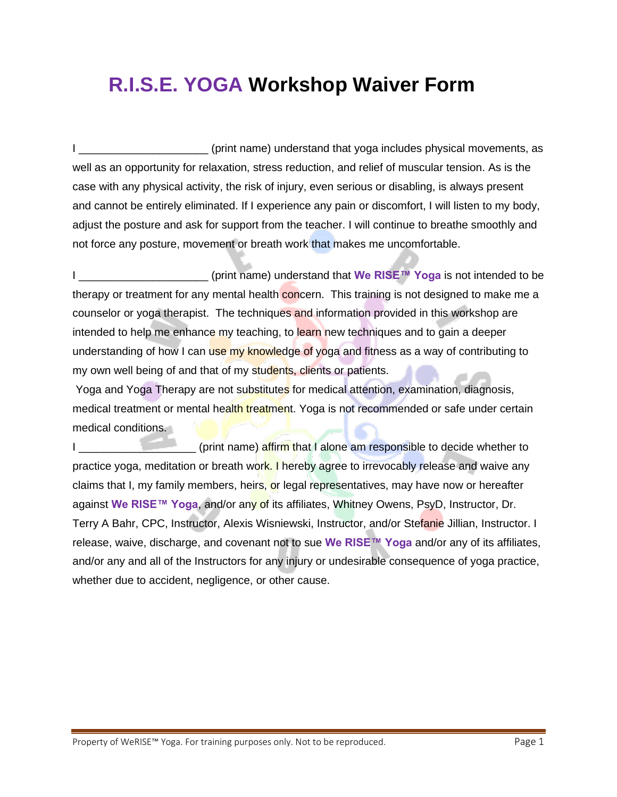## **R.I.S.E. YOGA Workshop Waiver Form**

I \_\_\_\_\_\_\_\_\_\_\_\_\_\_\_\_\_\_\_\_\_\_\_\_(print name) understand that yoga includes physical movements, as well as an opportunity for relaxation, stress reduction, and relief of muscular tension. As is the case with any physical activity, the risk of injury, even serious or disabling, is always present and cannot be entirely eliminated. If I experience any pain or discomfort, I will listen to my body, adjust the posture and ask for support from the teacher. I will continue to breathe smoothly and not force any posture, movement or breath work that makes me uncomfortable.

I \_\_\_\_\_\_\_\_\_\_\_\_\_\_\_\_\_\_\_\_\_ (print name) understand that **We RISE™ Yoga** is not intended to be therapy or treatment for any mental health concern. This training is not designed to make me a counselor or yoga therapist. The techniques and information provided in this workshop are intended to help me enhance my teaching, to learn new techniques and to gain a deeper understanding of how I can use my knowledge of yoga and fitness as a way of contributing to my own well being of and that of my students, clients or patients.

Yoga and Yoga Therapy are not substitutes for medical attention, examination, diagnosis, medical treatment or mental health treatment. Yoga is not recommended or safe under certain medical conditions.

I \_\_\_\_\_\_\_\_\_\_\_\_\_\_\_\_\_\_\_ (print name) affirm that I alone am responsible to decide whether to practice yoga, meditation or breath work. I hereby agree to irrevocably release and waive any claims that I, my family members, heirs, or legal representatives, may have now or hereafter against **We RISE™ Yoga**, and/or any of its affiliates, Whitney Owens, PsyD, Instructor, Dr. Terry A Bahr, CPC, Instructor, Alexis Wisniewski, Instructor, and/or Stefanie Jillian, Instructor. I release, waive, discharge, and covenant not to sue **We RISE™ Yoga** and/or any of its affiliates, and/or any and all of the Instructors for any injury or undesirable consequence of yoga practice, whether due to accident, negligence, or other cause.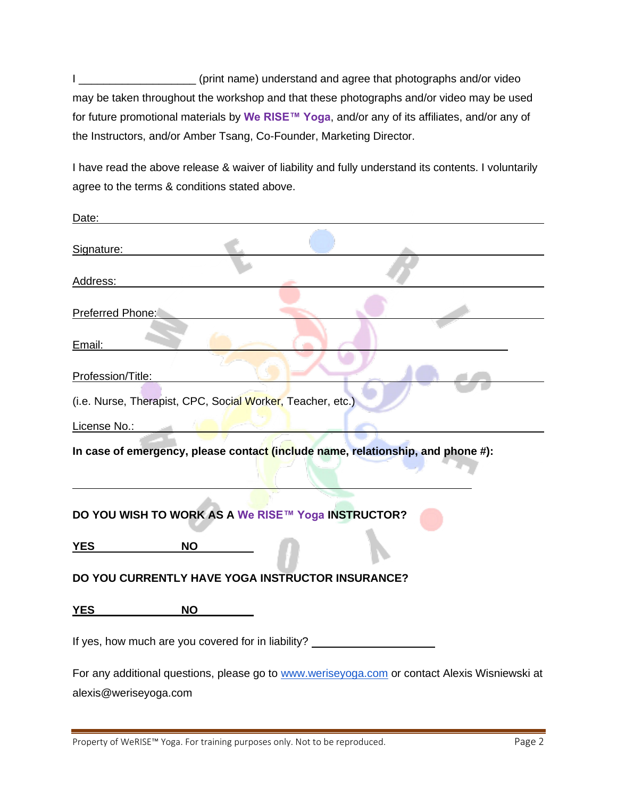I \_\_\_\_\_\_\_\_\_\_\_\_\_\_\_\_\_\_\_ (print name) understand and agree that photographs and/or video may be taken throughout the workshop and that these photographs and/or video may be used for future promotional materials by **We RISE™ Yoga**, and/or any of its affiliates, and/or any of the Instructors, and/or Amber Tsang, Co-Founder, Marketing Director.

I have read the above release & waiver of liability and fully understand its contents. I voluntarily agree to the terms & conditions stated above.

| Date:                                                                                         |
|-----------------------------------------------------------------------------------------------|
| Signature:                                                                                    |
| Address:                                                                                      |
| Preferred Phone:                                                                              |
| Email:                                                                                        |
| Profession/Title:                                                                             |
| (i.e. Nurse, Therapist, CPC, Social Worker, Teacher, etc.)                                    |
| License No.:                                                                                  |
| In case of emergency, please contact (include name, relationship, and phone #):               |
| DO YOU WISH TO WORK AS A We RISE™ Yoga INSTRUCTOR?                                            |
| <b>YES</b><br><b>NO</b>                                                                       |
| DO YOU CURRENTLY HAVE YOGA INSTRUCTOR INSURANCE?                                              |
| <b>NO</b><br><b>YES</b>                                                                       |
| If yes, how much are you covered for in liability? _____________________________              |
| For any additional questions, please go to www.weriseyoga.com or contact Alexis Wisniewski at |
| alexis@weriseyoga.com                                                                         |